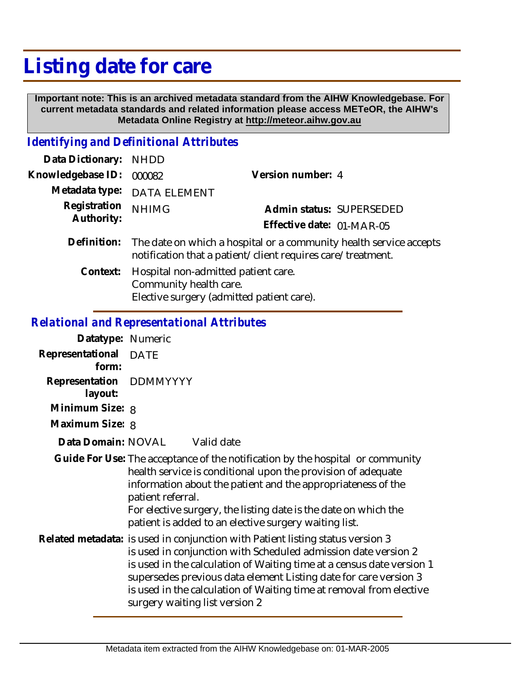## **Listing date for care**

 **Important note: This is an archived metadata standard from the AIHW Knowledgebase. For current metadata standards and related information please access METeOR, the AIHW's Metadata Online Registry at http://meteor.aihw.gov.au**

## *Identifying and Definitional Attributes*

| Data Dictionary: NHDD      |                                                                                                                                   |                           |                          |
|----------------------------|-----------------------------------------------------------------------------------------------------------------------------------|---------------------------|--------------------------|
| Knowledgebase ID:          | 000082                                                                                                                            | Version number: 4         |                          |
| Metadata type:             | <b>DATA ELEMENT</b>                                                                                                               |                           |                          |
| Registration<br>Authority: | <b>NHIMG</b>                                                                                                                      |                           | Admin status: SUPERSEDED |
|                            |                                                                                                                                   | Effective date: 01-MAR-05 |                          |
| Definition:                | The date on which a hospital or a community health service accepts<br>notification that a patient/client requires care/treatment. |                           |                          |
| Context:                   | Hospital non-admitted patient care.<br>Community health care.                                                                     |                           |                          |

Elective surgery (admitted patient care).

## *Relational and Representational Attributes*

| Datatype: Numeric                  |                                                                                                                                                                                                                                                                                                                                                                                                        |  |
|------------------------------------|--------------------------------------------------------------------------------------------------------------------------------------------------------------------------------------------------------------------------------------------------------------------------------------------------------------------------------------------------------------------------------------------------------|--|
| Representational DATE<br>form:     |                                                                                                                                                                                                                                                                                                                                                                                                        |  |
| Representation DDMMYYYY<br>layout: |                                                                                                                                                                                                                                                                                                                                                                                                        |  |
| Minimum Size: 8                    |                                                                                                                                                                                                                                                                                                                                                                                                        |  |
| Maximum Size: 8                    |                                                                                                                                                                                                                                                                                                                                                                                                        |  |
|                                    | Data Domain: NOVAL Valid date                                                                                                                                                                                                                                                                                                                                                                          |  |
|                                    | Guide For Use: The acceptance of the notification by the hospital or community<br>health service is conditional upon the provision of adequate<br>information about the patient and the appropriateness of the<br>patient referral.<br>For elective surgery, the listing date is the date on which the<br>patient is added to an elective surgery waiting list.                                        |  |
|                                    | Related metadata: is used in conjunction with Patient listing status version 3<br>is used in conjunction with Scheduled admission date version 2<br>is used in the calculation of Waiting time at a census date version 1<br>supersedes previous data element Listing date for care version 3<br>is used in the calculation of Waiting time at removal from elective<br>surgery waiting list version 2 |  |